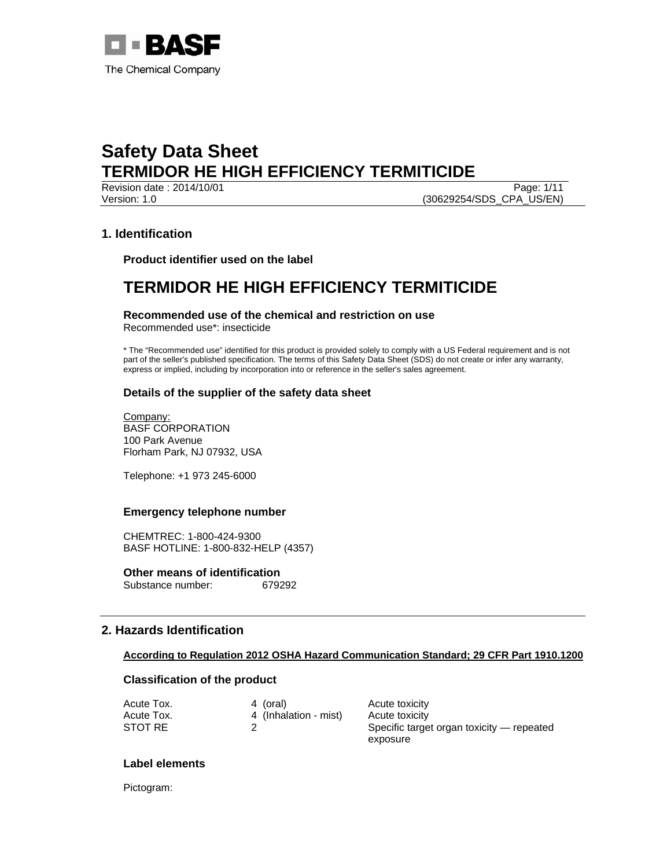

Version: 1.0 (30629254/SDS\_CPA\_US/EN)

Revision date : 2014/10/01 Page: 1/11

## **1. Identification**

**Product identifier used on the label** 

# **TERMIDOR HE HIGH EFFICIENCY TERMITICIDE**

**Recommended use of the chemical and restriction on use**  Recommended use\*: insecticide

\* The "Recommended use" identified for this product is provided solely to comply with a US Federal requirement and is not part of the seller's published specification. The terms of this Safety Data Sheet (SDS) do not create or infer any warranty,

express or implied, including by incorporation into or reference in the seller's sales agreement.

### **Details of the supplier of the safety data sheet**

Company: BASF CORPORATION 100 Park Avenue Florham Park, NJ 07932, USA

Telephone: +1 973 245-6000

#### **Emergency telephone number**

CHEMTREC: 1-800-424-9300 BASF HOTLINE: 1-800-832-HELP (4357)

**Other means of identification**<br>Substance number: 679292 Substance number:

## **2. Hazards Identification**

### **According to Regulation 2012 OSHA Hazard Communication Standard; 29 CFR Part 1910.1200**

#### **Classification of the product**

| Acute Tox. | 4 (oral)              | Acute toxicity                            |
|------------|-----------------------|-------------------------------------------|
| Acute Tox. | 4 (Inhalation - mist) | Acute toxicity                            |
| STOT RE    |                       | Specific target organ toxicity — repeated |
|            |                       | exposure                                  |

#### **Label elements**

Pictogram: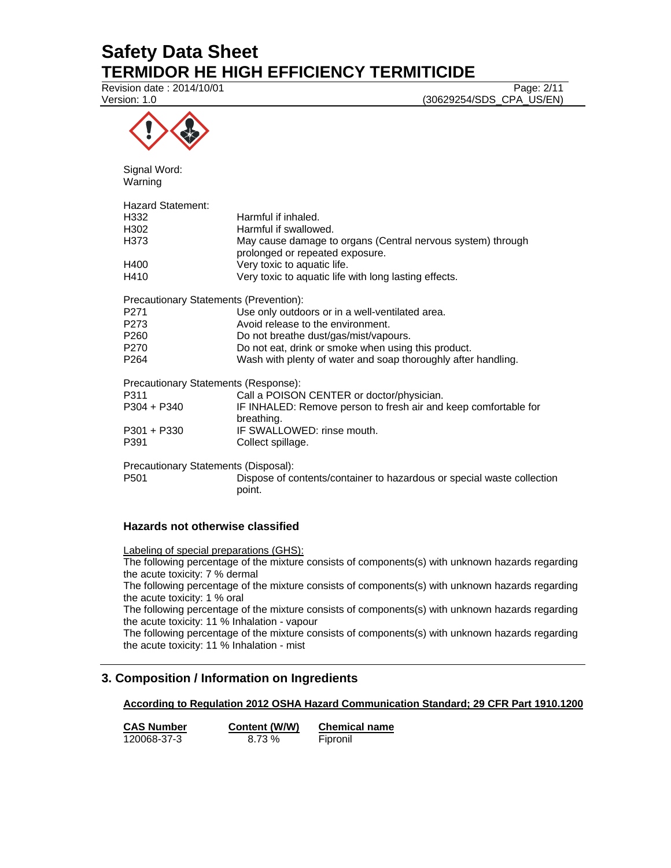Revision date : 2014/10/01 Page: 2/11

Version: 1.0 (30629254/SDS\_CPA\_US/EN)



Signal Word: Warning

| Hazard Statement: |                                                                                                |
|-------------------|------------------------------------------------------------------------------------------------|
| H332              | Harmful if inhaled.                                                                            |
| H302              | Harmful if swallowed.                                                                          |
| H373              | May cause damage to organs (Central nervous system) through<br>prolonged or repeated exposure. |
| H400              | Very toxic to aquatic life.                                                                    |
| H410              | Very toxic to aquatic life with long lasting effects.                                          |
|                   | Precautionary Statements (Prevention):                                                         |
| P271              | Use only outdoors or in a well-ventilated area.                                                |
| P273              | Avoid release to the environment.                                                              |
| P260              | Do not breathe dust/gas/mist/vapours.                                                          |
| P270              | Do not eat, drink or smoke when using this product.                                            |
| P264              | Wash with plenty of water and soap thoroughly after handling.                                  |
|                   | Precautionary Statements (Response):                                                           |
| P311              | Call a POISON CENTER or doctor/physician.                                                      |
| P304 + P340       | IF INHALED: Remove person to fresh air and keep comfortable for<br>breathing.                  |
| P301 + P330       | IF SWALLOWED: rinse mouth.                                                                     |
| P391              | Collect spillage.                                                                              |
|                   | Precautionary Statements (Disposal):                                                           |
| P501              | Dispose of contents/container to hazardous or special waste collection<br>point.               |

## **Hazards not otherwise classified**

Labeling of special preparations (GHS):

The following percentage of the mixture consists of components(s) with unknown hazards regarding the acute toxicity: 7 % dermal

The following percentage of the mixture consists of components(s) with unknown hazards regarding the acute toxicity: 1 % oral

The following percentage of the mixture consists of components(s) with unknown hazards regarding the acute toxicity: 11 % Inhalation - vapour

The following percentage of the mixture consists of components(s) with unknown hazards regarding the acute toxicity: 11 % Inhalation - mist

# **3. Composition / Information on Ingredients**

## **According to Regulation 2012 OSHA Hazard Communication Standard; 29 CFR Part 1910.1200**

**CAS Number Content (W/W) Chemical name** 120068-37-3 8.73 % Fipronil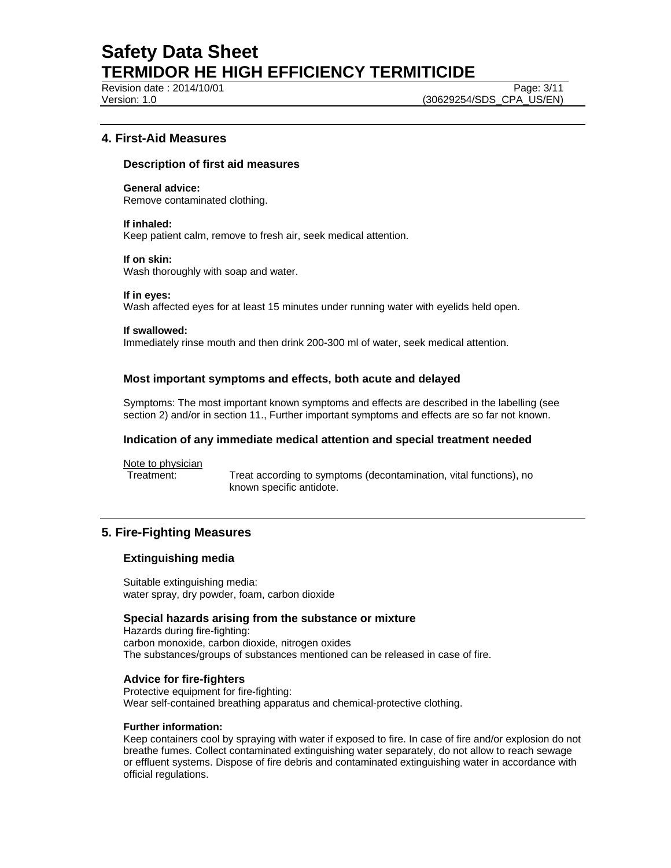Revision date : 2014/10/01 Page: 3/11

Version: 1.0 (30629254/SDS\_CPA\_US/EN)

## **4. First-Aid Measures**

#### **Description of first aid measures**

**General advice:** 

Remove contaminated clothing.

#### **If inhaled:**

Keep patient calm, remove to fresh air, seek medical attention.

#### **If on skin:**

Wash thoroughly with soap and water.

#### **If in eyes:**

Wash affected eyes for at least 15 minutes under running water with eyelids held open.

#### **If swallowed:**

Immediately rinse mouth and then drink 200-300 ml of water, seek medical attention.

### **Most important symptoms and effects, both acute and delayed**

Symptoms: The most important known symptoms and effects are described in the labelling (see section 2) and/or in section 11., Further important symptoms and effects are so far not known.

#### **Indication of any immediate medical attention and special treatment needed**

Note to physician

Treatment: Treat according to symptoms (decontamination, vital functions), no known specific antidote.

## **5. Fire-Fighting Measures**

#### **Extinguishing media**

Suitable extinguishing media: water spray, dry powder, foam, carbon dioxide

#### **Special hazards arising from the substance or mixture**

Hazards during fire-fighting: carbon monoxide, carbon dioxide, nitrogen oxides The substances/groups of substances mentioned can be released in case of fire.

#### **Advice for fire-fighters**

Protective equipment for fire-fighting: Wear self-contained breathing apparatus and chemical-protective clothing.

#### **Further information:**

Keep containers cool by spraying with water if exposed to fire. In case of fire and/or explosion do not breathe fumes. Collect contaminated extinguishing water separately, do not allow to reach sewage or effluent systems. Dispose of fire debris and contaminated extinguishing water in accordance with official regulations.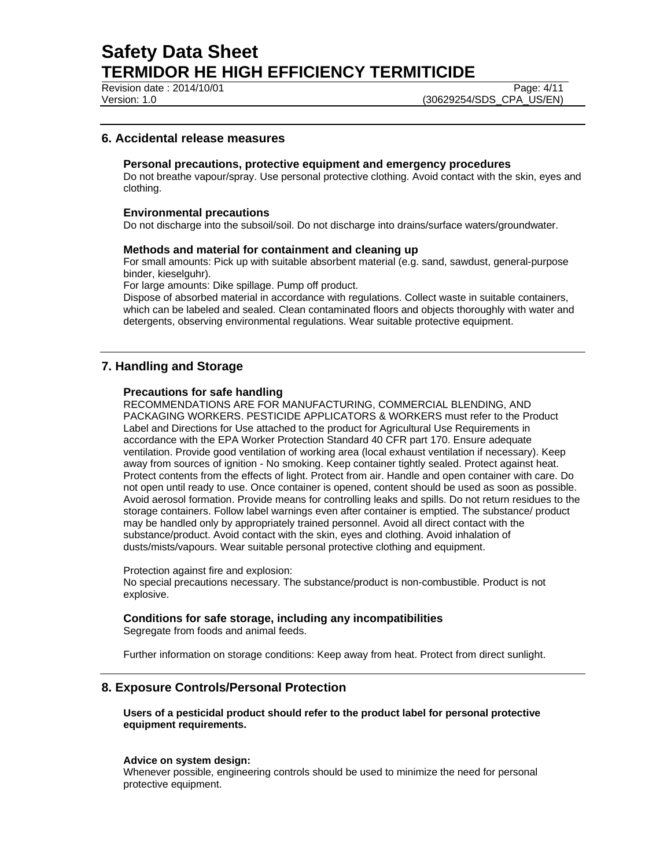Revision date : 2014/10/01 Page: 4/11

Version: 1.0 (30629254/SDS\_CPA\_US/EN)

## **6. Accidental release measures**

#### **Personal precautions, protective equipment and emergency procedures**

Do not breathe vapour/spray. Use personal protective clothing. Avoid contact with the skin, eyes and clothing.

#### **Environmental precautions**

Do not discharge into the subsoil/soil. Do not discharge into drains/surface waters/groundwater.

#### **Methods and material for containment and cleaning up**

For small amounts: Pick up with suitable absorbent material (e.g. sand, sawdust, general-purpose binder, kieselguhr).

For large amounts: Dike spillage. Pump off product.

Dispose of absorbed material in accordance with regulations. Collect waste in suitable containers, which can be labeled and sealed. Clean contaminated floors and objects thoroughly with water and detergents, observing environmental regulations. Wear suitable protective equipment.

## **7. Handling and Storage**

### **Precautions for safe handling**

RECOMMENDATIONS ARE FOR MANUFACTURING, COMMERCIAL BLENDING, AND PACKAGING WORKERS. PESTICIDE APPLICATORS & WORKERS must refer to the Product Label and Directions for Use attached to the product for Agricultural Use Requirements in accordance with the EPA Worker Protection Standard 40 CFR part 170. Ensure adequate ventilation. Provide good ventilation of working area (local exhaust ventilation if necessary). Keep away from sources of ignition - No smoking. Keep container tightly sealed. Protect against heat. Protect contents from the effects of light. Protect from air. Handle and open container with care. Do not open until ready to use. Once container is opened, content should be used as soon as possible. Avoid aerosol formation. Provide means for controlling leaks and spills. Do not return residues to the storage containers. Follow label warnings even after container is emptied. The substance/ product may be handled only by appropriately trained personnel. Avoid all direct contact with the substance/product. Avoid contact with the skin, eyes and clothing. Avoid inhalation of dusts/mists/vapours. Wear suitable personal protective clothing and equipment.

Protection against fire and explosion:

No special precautions necessary. The substance/product is non-combustible. Product is not explosive.

## **Conditions for safe storage, including any incompatibilities**

Segregate from foods and animal feeds.

Further information on storage conditions: Keep away from heat. Protect from direct sunlight.

## **8. Exposure Controls/Personal Protection**

**Users of a pesticidal product should refer to the product label for personal protective equipment requirements.** 

#### **Advice on system design:**

Whenever possible, engineering controls should be used to minimize the need for personal protective equipment.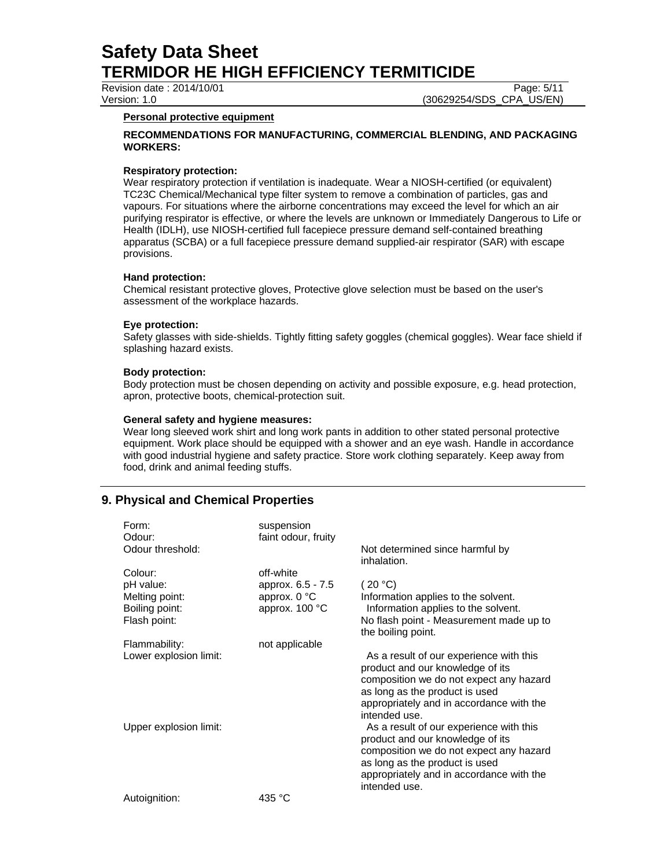Revision date : 2014/10/01 Page: 5/11

Version: 1.0 (30629254/SDS\_CPA\_US/EN)

## **Personal protective equipment**

## **RECOMMENDATIONS FOR MANUFACTURING, COMMERCIAL BLENDING, AND PACKAGING WORKERS:**

# **Respiratory protection:**

Wear respiratory protection if ventilation is inadequate. Wear a NIOSH-certified (or equivalent) TC23C Chemical/Mechanical type filter system to remove a combination of particles, gas and vapours. For situations where the airborne concentrations may exceed the level for which an air purifying respirator is effective, or where the levels are unknown or Immediately Dangerous to Life or Health (IDLH), use NIOSH-certified full facepiece pressure demand self-contained breathing apparatus (SCBA) or a full facepiece pressure demand supplied-air respirator (SAR) with escape provisions.

# **Hand protection:**

Chemical resistant protective gloves, Protective glove selection must be based on the user's assessment of the workplace hazards.

## **Eye protection:**

Safety glasses with side-shields. Tightly fitting safety goggles (chemical goggles). Wear face shield if splashing hazard exists.

# **Body protection:**

Body protection must be chosen depending on activity and possible exposure, e.g. head protection, apron, protective boots, chemical-protection suit.

# **General safety and hygiene measures:**

Wear long sleeved work shirt and long work pants in addition to other stated personal protective equipment. Work place should be equipped with a shower and an eye wash. Handle in accordance with good industrial hygiene and safety practice. Store work clothing separately. Keep away from food, drink and animal feeding stuffs.

# **9. Physical and Chemical Properties**

| Form:<br>Odour:<br>Odour threshold: | suspension<br>faint odour, fruity | Not determined since harmful by<br>inhalation.                                                                                                                                                                        |
|-------------------------------------|-----------------------------------|-----------------------------------------------------------------------------------------------------------------------------------------------------------------------------------------------------------------------|
| Colour:                             | off-white                         |                                                                                                                                                                                                                       |
| pH value:<br>Melting point:         | approx. 6.5 - 7.5<br>approx. 0 °C | (20 °C)<br>Information applies to the solvent.                                                                                                                                                                        |
| Boiling point:<br>Flash point:      | approx. 100 °C                    | Information applies to the solvent.<br>No flash point - Measurement made up to                                                                                                                                        |
|                                     |                                   | the boiling point.                                                                                                                                                                                                    |
| Flammability:                       | not applicable                    |                                                                                                                                                                                                                       |
| Lower explosion limit:              |                                   | As a result of our experience with this<br>product and our knowledge of its<br>composition we do not expect any hazard<br>as long as the product is used<br>appropriately and in accordance with the<br>intended use. |
| Upper explosion limit:              |                                   | As a result of our experience with this<br>product and our knowledge of its<br>composition we do not expect any hazard<br>as long as the product is used<br>appropriately and in accordance with the<br>intended use. |
| Autoignition:                       | 435 °C                            |                                                                                                                                                                                                                       |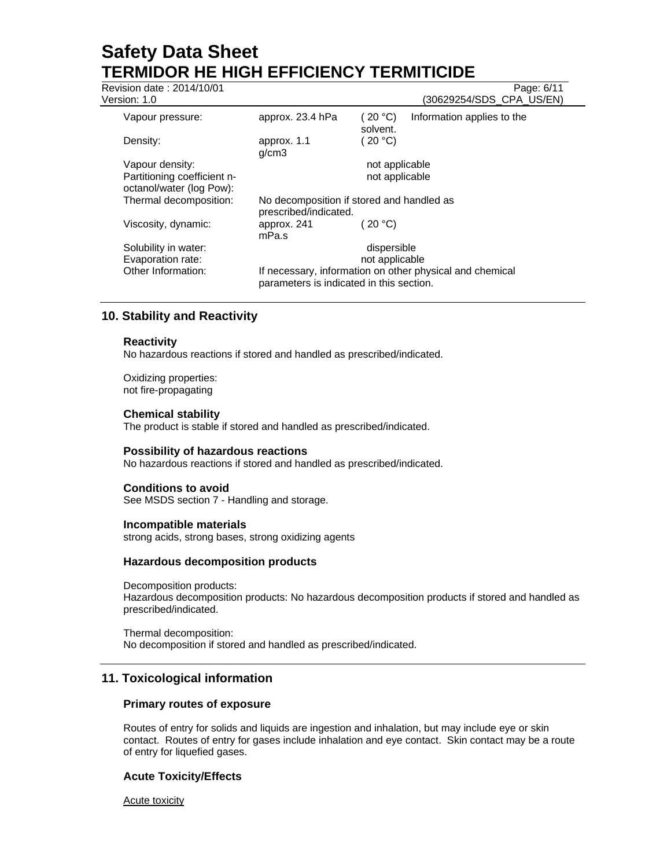| Revision date: 2014/10/01<br>Version: 1.0               |                                                                    |                     | Page: 6/11<br>(30629254/SDS_CPA_US/EN)                   |
|---------------------------------------------------------|--------------------------------------------------------------------|---------------------|----------------------------------------------------------|
| Vapour pressure:                                        | approx. 23.4 hPa                                                   | (20 °C)<br>solvent. | Information applies to the                               |
| Density:                                                | approx. 1.1<br>q/cm3                                               | (20 °C)             |                                                          |
| Vapour density:                                         |                                                                    | not applicable      |                                                          |
| Partitioning coefficient n-<br>octanol/water (log Pow): |                                                                    | not applicable      |                                                          |
| Thermal decomposition:                                  | No decomposition if stored and handled as<br>prescribed/indicated. |                     |                                                          |
| Viscosity, dynamic:                                     | approx. 241<br>mPa.s                                               | (20 °C)             |                                                          |
| Solubility in water:                                    |                                                                    | dispersible         |                                                          |
| Evaporation rate:                                       |                                                                    | not applicable      |                                                          |
| Other Information:                                      | parameters is indicated in this section.                           |                     | If necessary, information on other physical and chemical |
|                                                         |                                                                    |                     |                                                          |

# **10. Stability and Reactivity**

### **Reactivity**

No hazardous reactions if stored and handled as prescribed/indicated.

Oxidizing properties: not fire-propagating

### **Chemical stability**

The product is stable if stored and handled as prescribed/indicated.

#### **Possibility of hazardous reactions**

No hazardous reactions if stored and handled as prescribed/indicated.

#### **Conditions to avoid**

See MSDS section 7 - Handling and storage.

### **Incompatible materials**

strong acids, strong bases, strong oxidizing agents

### **Hazardous decomposition products**

Decomposition products: Hazardous decomposition products: No hazardous decomposition products if stored and handled as prescribed/indicated.

Thermal decomposition: No decomposition if stored and handled as prescribed/indicated.

## **11. Toxicological information**

### **Primary routes of exposure**

Routes of entry for solids and liquids are ingestion and inhalation, but may include eye or skin contact. Routes of entry for gases include inhalation and eye contact. Skin contact may be a route of entry for liquefied gases.

#### **Acute Toxicity/Effects**

Acute toxicity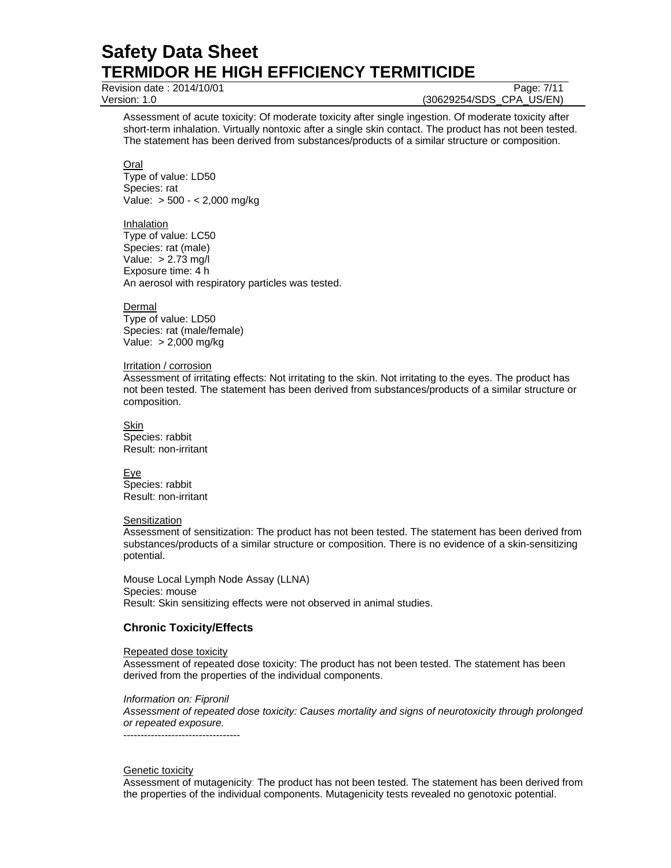Revision date : 2014/10/01 Page: 7/11

Version: 1.0 (30629254/SDS\_CPA\_US/EN)

Assessment of acute toxicity: Of moderate toxicity after single ingestion. Of moderate toxicity after short-term inhalation. Virtually nontoxic after a single skin contact. The product has not been tested. The statement has been derived from substances/products of a similar structure or composition.

Oral Type of value: LD50 Species: rat Value: > 500 - < 2,000 mg/kg

#### Inhalation

Type of value: LC50 Species: rat (male) Value: > 2.73 mg/l Exposure time: 4 h An aerosol with respiratory particles was tested.

Dermal Type of value: LD50 Species: rat (male/female) Value: > 2,000 mg/kg

#### Irritation / corrosion

Assessment of irritating effects: Not irritating to the skin. Not irritating to the eyes. The product has not been tested. The statement has been derived from substances/products of a similar structure or composition.

Skin Species: rabbit Result: non-irritant

Eye Species: rabbit Result: non-irritant

#### **Sensitization**

Assessment of sensitization: The product has not been tested. The statement has been derived from substances/products of a similar structure or composition. There is no evidence of a skin-sensitizing potential.

Mouse Local Lymph Node Assay (LLNA) Species: mouse Result: Skin sensitizing effects were not observed in animal studies.

## **Chronic Toxicity/Effects**

#### Repeated dose toxicity

Assessment of repeated dose toxicity: The product has not been tested. The statement has been derived from the properties of the individual components.

*Information on: Fipronil* 

----------------------------------

*Assessment of repeated dose toxicity: Causes mortality and signs of neurotoxicity through prolonged or repeated exposure.* 

#### **Genetic toxicity**

Assessment of mutagenicity: The product has not been tested. The statement has been derived from the properties of the individual components. Mutagenicity tests revealed no genotoxic potential.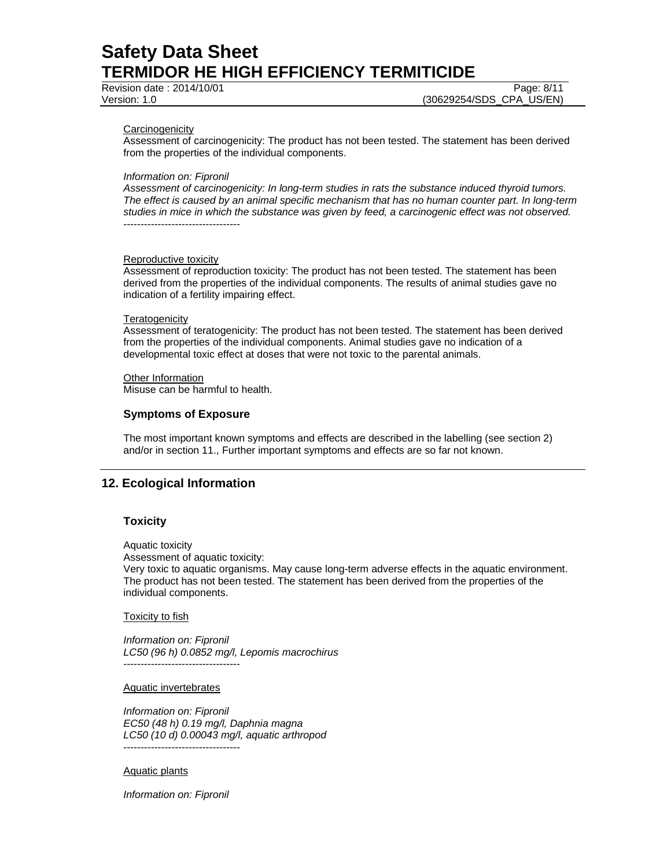Revision date : 2014/10/01 Page: 8/11

Version: 1.0 (30629254/SDS\_CPA\_US/EN)

#### **Carcinogenicity**

Assessment of carcinogenicity: The product has not been tested. The statement has been derived from the properties of the individual components.

#### *Information on: Fipronil*

*Assessment of carcinogenicity: In long-term studies in rats the substance induced thyroid tumors. The effect is caused by an animal specific mechanism that has no human counter part. In long-term studies in mice in which the substance was given by feed, a carcinogenic effect was not observed.*  ----------------------------------

#### Reproductive toxicity

Assessment of reproduction toxicity: The product has not been tested. The statement has been derived from the properties of the individual components. The results of animal studies gave no indication of a fertility impairing effect.

#### **Teratogenicity**

Assessment of teratogenicity: The product has not been tested. The statement has been derived from the properties of the individual components. Animal studies gave no indication of a developmental toxic effect at doses that were not toxic to the parental animals.

#### **Other Information**

Misuse can be harmful to health.

### **Symptoms of Exposure**

The most important known symptoms and effects are described in the labelling (see section 2) and/or in section 11., Further important symptoms and effects are so far not known.

## **12. Ecological Information**

#### **Toxicity**

Aquatic toxicity

Assessment of aquatic toxicity:

Very toxic to aquatic organisms. May cause long-term adverse effects in the aquatic environment. The product has not been tested. The statement has been derived from the properties of the individual components.

#### **Toxicity to fish**

*Information on: Fipronil LC50 (96 h) 0.0852 mg/l, Lepomis macrochirus*  ----------------------------------

#### Aquatic invertebrates

*Information on: Fipronil EC50 (48 h) 0.19 mg/l, Daphnia magna LC50 (10 d) 0.00043 mg/l, aquatic arthropod*  ----------------------------------

#### Aquatic plants

*Information on: Fipronil*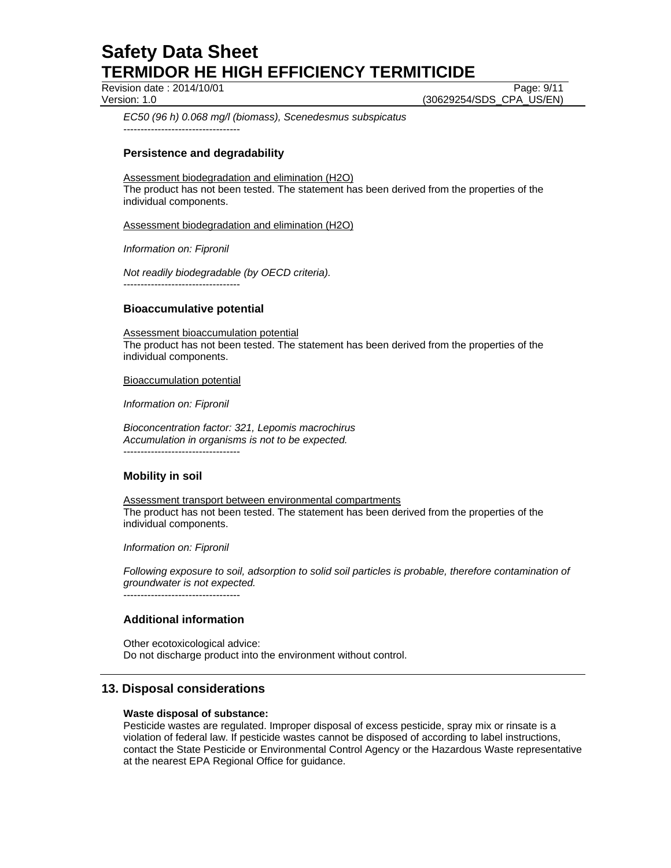Revision date : 2014/10/01 Page: 9/11

Version: 1.0 (30629254/SDS\_CPA\_US/EN)

*EC50 (96 h) 0.068 mg/l (biomass), Scenedesmus subspicatus*  ----------------------------------

## **Persistence and degradability**

### Assessment biodegradation and elimination (H2O)

The product has not been tested. The statement has been derived from the properties of the individual components.

Assessment biodegradation and elimination (H2O)

*Information on: Fipronil* 

*Not readily biodegradable (by OECD criteria).*  ----------------------------------

## **Bioaccumulative potential**

Assessment bioaccumulation potential

The product has not been tested. The statement has been derived from the properties of the individual components.

#### Bioaccumulation potential

*Information on: Fipronil* 

*Bioconcentration factor: 321, Lepomis macrochirus Accumulation in organisms is not to be expected.* 

----------------------------------

## **Mobility in soil**

Assessment transport between environmental compartments The product has not been tested. The statement has been derived from the properties of the individual components.

*Information on: Fipronil* 

*Following exposure to soil, adsorption to solid soil particles is probable, therefore contamination of groundwater is not expected.*

----------------------------------

## **Additional information**

Other ecotoxicological advice: Do not discharge product into the environment without control.

## **13. Disposal considerations**

#### **Waste disposal of substance:**

Pesticide wastes are regulated. Improper disposal of excess pesticide, spray mix or rinsate is a violation of federal law. If pesticide wastes cannot be disposed of according to label instructions, contact the State Pesticide or Environmental Control Agency or the Hazardous Waste representative at the nearest EPA Regional Office for guidance.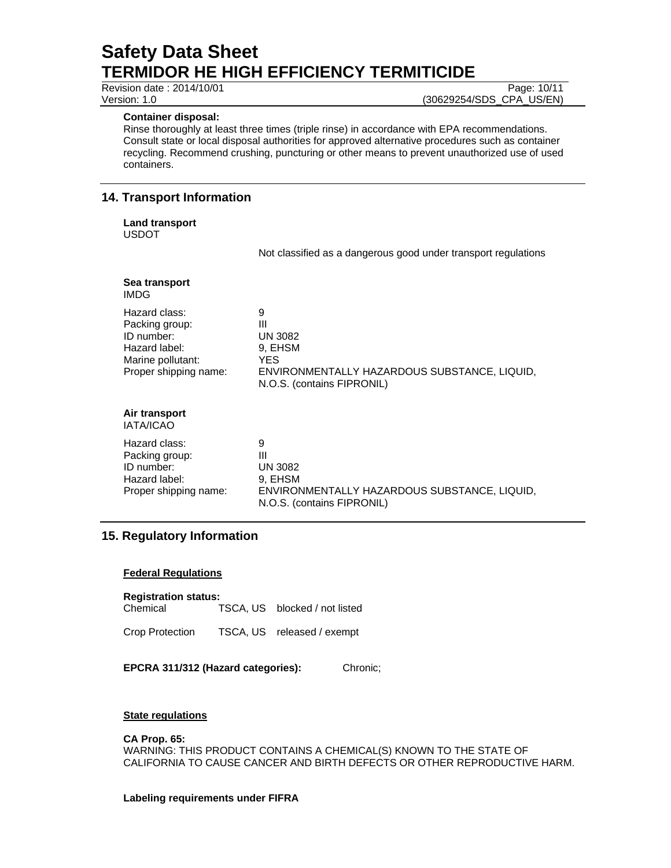Revision date : 2014/10/01 Page: 10/11

#### **Container disposal:**

Rinse thoroughly at least three times (triple rinse) in accordance with EPA recommendations. Consult state or local disposal authorities for approved alternative procedures such as container recycling. Recommend crushing, puncturing or other means to prevent unauthorized use of used containers.

# **14. Transport Information**

**Land transport**  USDOT

Not classified as a dangerous good under transport regulations

| Sea transport<br>IMDG                                                                                        |                                                                                                                                 |
|--------------------------------------------------------------------------------------------------------------|---------------------------------------------------------------------------------------------------------------------------------|
| Hazard class:<br>Packing group:<br>ID number:<br>Hazard label:<br>Marine pollutant:<br>Proper shipping name: | 9<br>Ш<br><b>UN 3082</b><br>9. EHSM<br><b>YES</b><br>ENVIRONMENTALLY HAZARDOUS SUBSTANCE, LIQUID,<br>N.O.S. (contains FIPRONIL) |
| Air transport<br>IATA/ICAO                                                                                   |                                                                                                                                 |
| Hazard class:<br>Packing group:<br>ID number:<br>Hazard label:<br>Proper shipping name:                      | 9<br>Ш<br><b>UN 3082</b><br>9, EHSM<br>ENVIRONMENTALLY HAZARDOUS SUBSTANCE, LIQUID,<br>N.O.S. (contains FIPRONIL)               |

# **15. Regulatory Information**

## **Federal Regulations**

**Registration status:** 

Chemical TSCA, US blocked / not listed

Crop Protection TSCA, US released / exempt

**EPCRA 311/312 (Hazard categories):** Chronic;

## **State regulations**

## **CA Prop. 65:**

WARNING: THIS PRODUCT CONTAINS A CHEMICAL(S) KNOWN TO THE STATE OF CALIFORNIA TO CAUSE CANCER AND BIRTH DEFECTS OR OTHER REPRODUCTIVE HARM.

## **Labeling requirements under FIFRA**

Version: 1.0 (30629254/SDS\_CPA\_US/EN)